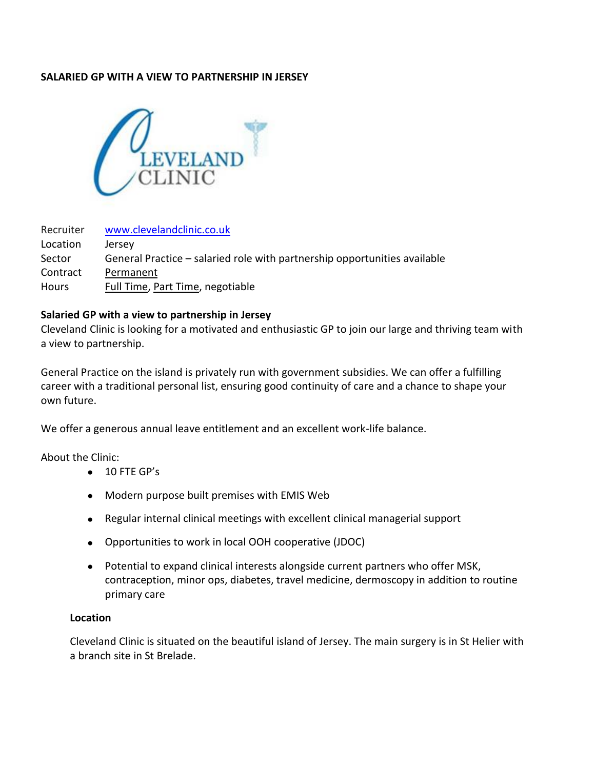## **SALARIED GP WITH A VIEW TO PARTNERSHIP IN JERSEY**



| Recruiter | www.clevelandclinic.co.uk                                                 |
|-----------|---------------------------------------------------------------------------|
| Location  | Jersey                                                                    |
| Sector    | General Practice – salaried role with partnership opportunities available |
| Contract  | Permanent                                                                 |
| Hours     | Full Time, Part Time, negotiable                                          |

## **Salaried GP with a view to partnership in Jersey**

Cleveland Clinic is looking for a motivated and enthusiastic GP to join our large and thriving team with a view to partnership.

General Practice on the island is privately run with government subsidies. We can offer a fulfilling career with a traditional personal list, ensuring good continuity of care and a chance to shape your own future.

We offer a generous annual leave entitlement and an excellent work-life balance.

About the Clinic:

- 10 FTE GP's
- Modern purpose built premises with EMIS Web
- Regular internal clinical meetings with excellent clinical managerial support
- Opportunities to work in local OOH cooperative (JDOC)
- Potential to expand clinical interests alongside current partners who offer MSK, contraception, minor ops, diabetes, travel medicine, dermoscopy in addition to routine primary care

## **Location**

Cleveland Clinic is situated on the beautiful island of Jersey. The main surgery is in St Helier with a branch site in St Brelade.